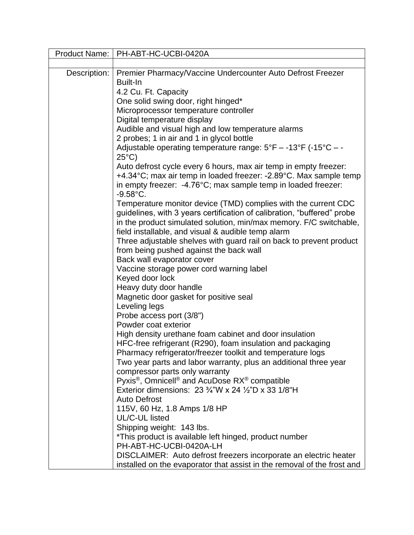| Product Name: | PH-ABT-HC-UCBI-0420A                                                                                                                                                                                            |
|---------------|-----------------------------------------------------------------------------------------------------------------------------------------------------------------------------------------------------------------|
|               |                                                                                                                                                                                                                 |
| Description:  | Premier Pharmacy/Vaccine Undercounter Auto Defrost Freezer<br>Built-In                                                                                                                                          |
|               | 4.2 Cu. Ft. Capacity                                                                                                                                                                                            |
|               | One solid swing door, right hinged*                                                                                                                                                                             |
|               | Microprocessor temperature controller                                                                                                                                                                           |
|               | Digital temperature display                                                                                                                                                                                     |
|               | Audible and visual high and low temperature alarms                                                                                                                                                              |
|               | 2 probes; 1 in air and 1 in glycol bottle                                                                                                                                                                       |
|               | Adjustable operating temperature range: $5^{\circ}F - -13^{\circ}F$ (-15 $^{\circ}C - -$<br>$25^{\circ}$ C)                                                                                                     |
|               | Auto defrost cycle every 6 hours, max air temp in empty freezer:                                                                                                                                                |
|               | +4.34°C; max air temp in loaded freezer: -2.89°C. Max sample temp<br>in empty freezer: -4.76°C; max sample temp in loaded freezer:<br>$-9.58^{\circ}$ C.                                                        |
|               | Temperature monitor device (TMD) complies with the current CDC<br>guidelines, with 3 years certification of calibration, "buffered" probe<br>in the product simulated solution, min/max memory. F/C switchable, |
|               | field installable, and visual & audible temp alarm                                                                                                                                                              |
|               | Three adjustable shelves with guard rail on back to prevent product                                                                                                                                             |
|               | from being pushed against the back wall                                                                                                                                                                         |
|               | Back wall evaporator cover                                                                                                                                                                                      |
|               | Vaccine storage power cord warning label                                                                                                                                                                        |
|               | Keyed door lock                                                                                                                                                                                                 |
|               | Heavy duty door handle                                                                                                                                                                                          |
|               | Magnetic door gasket for positive seal                                                                                                                                                                          |
|               | Leveling legs                                                                                                                                                                                                   |
|               | Probe access port (3/8")                                                                                                                                                                                        |
|               | Powder coat exterior                                                                                                                                                                                            |
|               | High density urethane foam cabinet and door insulation                                                                                                                                                          |
|               | HFC-free refrigerant (R290), foam insulation and packaging                                                                                                                                                      |
|               | Pharmacy refrigerator/freezer toolkit and temperature logs                                                                                                                                                      |
|               | Two year parts and labor warranty, plus an additional three year                                                                                                                                                |
|               | compressor parts only warranty                                                                                                                                                                                  |
|               | Pyxis <sup>®</sup> , Omnicell <sup>®</sup> and AcuDose RX <sup>®</sup> compatible                                                                                                                               |
|               | Exterior dimensions: 23 $\frac{3}{4}$ "W x 24 $\frac{1}{2}$ "D x 33 1/8"H                                                                                                                                       |
|               | <b>Auto Defrost</b>                                                                                                                                                                                             |
|               | 115V, 60 Hz, 1.8 Amps 1/8 HP<br>UL/C-UL listed                                                                                                                                                                  |
|               |                                                                                                                                                                                                                 |
|               | Shipping weight: 143 lbs.                                                                                                                                                                                       |
|               | *This product is available left hinged, product number<br>PH-ABT-HC-UCBI-0420A-LH                                                                                                                               |
|               | DISCLAIMER: Auto defrost freezers incorporate an electric heater                                                                                                                                                |
|               | installed on the evaporator that assist in the removal of the frost and                                                                                                                                         |